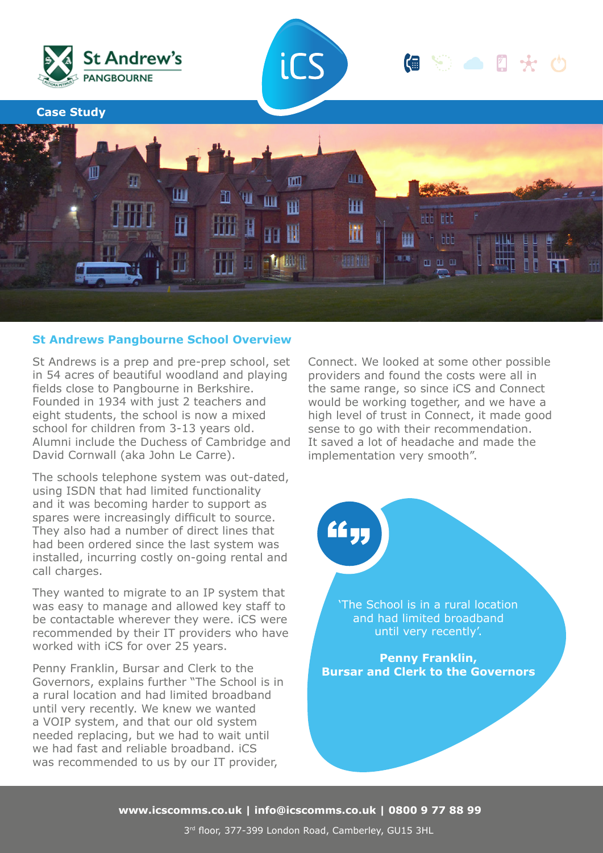

## **St Andrews Pangbourne School Overview**

St Andrews is a prep and pre-prep school, set in 54 acres of beautiful woodland and playing fields close to Pangbourne in Berkshire. Founded in 1934 with just 2 teachers and eight students, the school is now a mixed school for children from 3-13 years old. Alumni include the Duchess of Cambridge and David Cornwall (aka John Le Carre).

The schools telephone system was out-dated, using ISDN that had limited functionality and it was becoming harder to support as spares were increasingly difficult to source. They also had a number of direct lines that had been ordered since the last system was installed, incurring costly on-going rental and call charges.

They wanted to migrate to an IP system that was easy to manage and allowed key staff to be contactable wherever they were. iCS were recommended by their IT providers who have worked with iCS for over 25 years.

Penny Franklin, Bursar and Clerk to the Governors, explains further "The School is in a rural location and had limited broadband until very recently. We knew we wanted a VOIP system, and that our old system needed replacing, but we had to wait until we had fast and reliable broadband. iCS was recommended to us by our IT provider,

Connect. We looked at some other possible providers and found the costs were all in the same range, so since iCS and Connect would be working together, and we have a high level of trust in Connect, it made good sense to go with their recommendation. It saved a lot of headache and made the implementation very smooth".

> 'The School is in a rural location and had limited broadband until very recently'.

<u>لو ٤</u>٤

**Penny Franklin, Bursar and Clerk to the Governors**

**www.icscomms.co.uk | info@icscomms.co.uk | 0800 9 77 88 99**